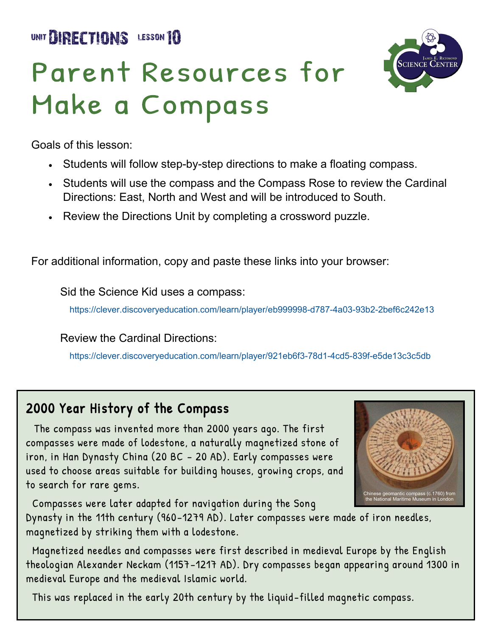UNIT **BIRECTIONS** LESSON 10

## Parent Resources for Make a Compass



Goals of this lesson:

- Students will follow step-by-step directions to make a floating compass.
- Students will use the compass and the Compass Rose to review the Cardinal Directions: East, North and West and will be introduced to South.
- Review the Directions Unit by completing a crossword puzzle.

For additional information, copy and paste these links into your browser:

Sid the Science Kid uses a compass:

[https://clever.discoveryeducation.com/learn/player/eb999998](https://clever.discoveryeducation.com/learn/player/921eb6f3-78d1-4cd5-839f-e5de13c3c5db)-d787-4a03-93b2-2bef6c242e13

Review the Cardinal Directions:

[https://clever.discoveryeducation.com/learn/player/921eb6f3](https://clever.discoveryeducation.com/learn/player/921eb6f3-78d1-4cd5-839f-e5de13c3c5db)-78d1-4cd5-839f-e5de13c3c5db

#### 2000 Year History of the Compass

 The compass was invented more than 2000 years ago. The first compasses were made of lodestone, a naturally magnetized stone of iron, in Han Dynasty China (20 BC – 20 AD). Early compasses were used to choose areas suitable for building houses, growing crops, and to search for rare gems.



Compasses were later adapted for navigation during the Song

Dynasty in the 11th century (960–1279 AD). Later compasses were made of iron needles, magnetized by striking them with a lodestone.

 Magnetized needles and compasses were first described in medieval Europe by the English theologian Alexander Neckam (1157–1217 AD). Dry compasses began appearing around 1300 in medieval Europe and the medieval Islamic world.

This was replaced in the early 20th century by the liquid -filled magnetic compass.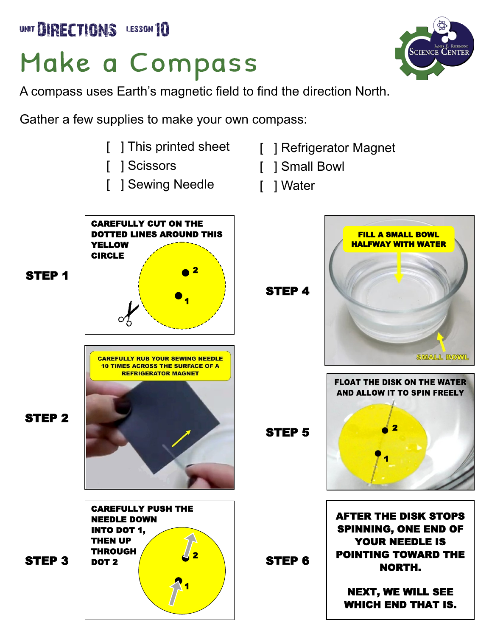UNIT BIRECTIONS LESSON 10

### Make a Compass

A compass uses Earth's magnetic field to find the direction North.

Gather a few supplies to make your own compass:

- 
- [ ] Scissors
- [ ] Sewing Needle
- [ ] This printed sheet [ ] Refrigerator Magnet
	- [ ] Small Bowl
	- [ ] Water



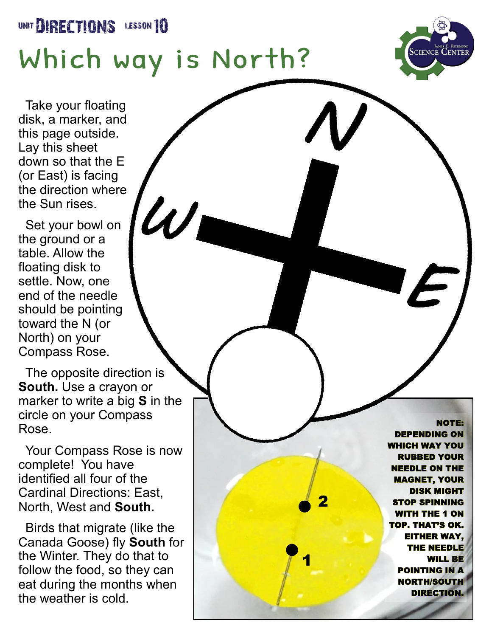#### UNIT **DIRECTIONS** LESSON 10

# Which way is North?

 $\mathcal{U}$ h



 Take your floating disk, a marker, and this page outside. Lay this sheet down so that the E (or East) is facing the direction where the Sun rises.

 Set your bowl on the ground or a table. Allow the floating disk to settle. Now, one end of the needle should be pointing toward the N (or North) on your Compass Rose.

 The opposite direction is **South.** Use a crayon or marker to write a big **S** in the circle on your Compass Rose.

 Your Compass Rose is now complete! You have identified all four of the Cardinal Directions: East, North, West and **South.**

 Birds that migrate (like the Canada Goose) fly **South** for the Winter. They do that to follow the food, so they can eat during the months when the weather is cold.

NOTE: DEPENDING ON DEPENDING **ICH WAY YOU** RUBBED YOUR NEEDLE ON THE MAGNET, YOUR DISK MIGHT STOP SPINNING ITH THE 1 ON TOP. THAT'S OK. EITHER WAY, THE NEEDLE WILL BE POINTING IN A NORTH/SOUTH **DIRECTION** WHICH WAY YOU<br>RUBBED YOUR<br>NEEDLE ON THE<br>MAGNET, YOUR EITHER WAY, WILL BE<br>POINTING IN A<br>NORTH/SOUTH<br>DIRECTION.